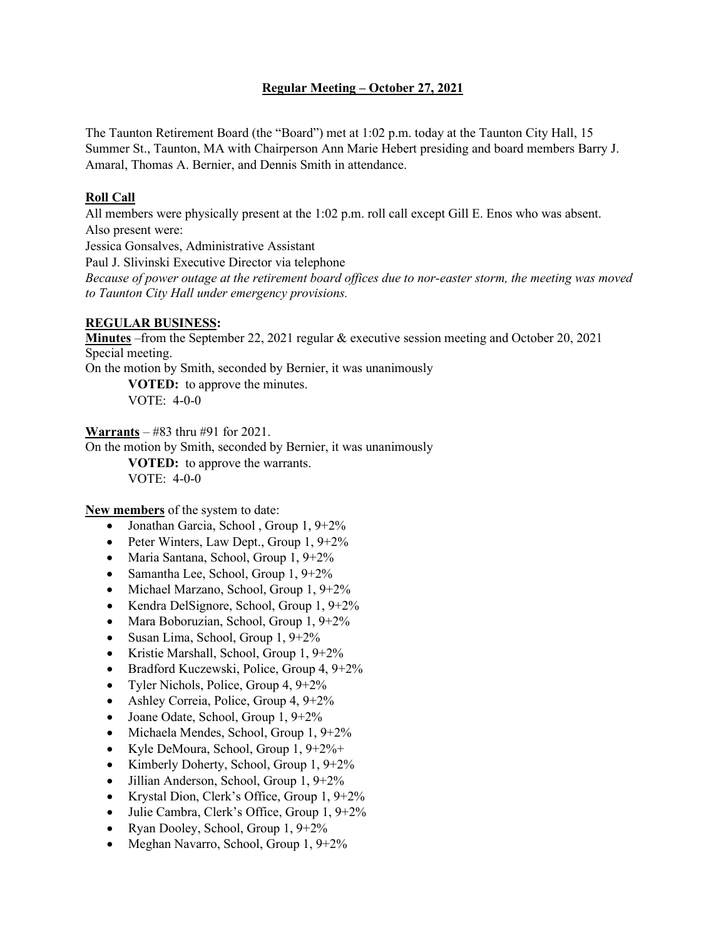# **Regular Meeting – October 27, 2021**

The Taunton Retirement Board (the "Board") met at 1:02 p.m. today at the Taunton City Hall, 15 Summer St., Taunton, MA with Chairperson Ann Marie Hebert presiding and board members Barry J. Amaral, Thomas A. Bernier, and Dennis Smith in attendance.

## **Roll Call**

All members were physically present at the 1:02 p.m. roll call except Gill E. Enos who was absent. Also present were:

Jessica Gonsalves, Administrative Assistant

Paul J. Slivinski Executive Director via telephone

*Because of power outage at the retirement board offices due to nor-easter storm, the meeting was moved to Taunton City Hall under emergency provisions.*

#### **REGULAR BUSINESS:**

**Minutes** –from the September 22, 2021 regular & executive session meeting and October 20, 2021 Special meeting.

On the motion by Smith, seconded by Bernier, it was unanimously

**VOTED:** to approve the minutes. VOTE: 4-0-0

**Warrants** – #83 thru #91 for 2021.

On the motion by Smith, seconded by Bernier, it was unanimously **VOTED:** to approve the warrants.

VOTE: 4-0-0

**New members** of the system to date:

- Jonathan Garcia, School, Group 1, 9+2%
- Peter Winters, Law Dept., Group  $1, 9+2\%$
- Maria Santana, School, Group 1, 9+2%
- Samantha Lee, School, Group 1, 9+2%
- Michael Marzano, School, Group 1, 9+2%
- Kendra DelSignore, School, Group 1, 9+2%
- Mara Boboruzian, School, Group 1, 9+2%
- Susan Lima, School, Group 1, 9+2%
- Kristie Marshall, School, Group 1, 9+2%
- Bradford Kuczewski, Police, Group 4, 9+2%
- Tyler Nichols, Police, Group 4,  $9+2\%$
- Ashley Correia, Police, Group 4, 9+2%
- Joane Odate, School, Group 1, 9+2%
- Michaela Mendes, School, Group 1, 9+2%
- Kyle DeMoura, School, Group 1, 9+2%+
- Kimberly Doherty, School, Group 1, 9+2%
- Jillian Anderson, School, Group 1, 9+2%
- Krystal Dion, Clerk's Office, Group 1, 9+2%
- Julie Cambra, Clerk's Office, Group 1, 9+2%
- Ryan Dooley, School, Group 1, 9+2%
- Meghan Navarro, School, Group 1, 9+2%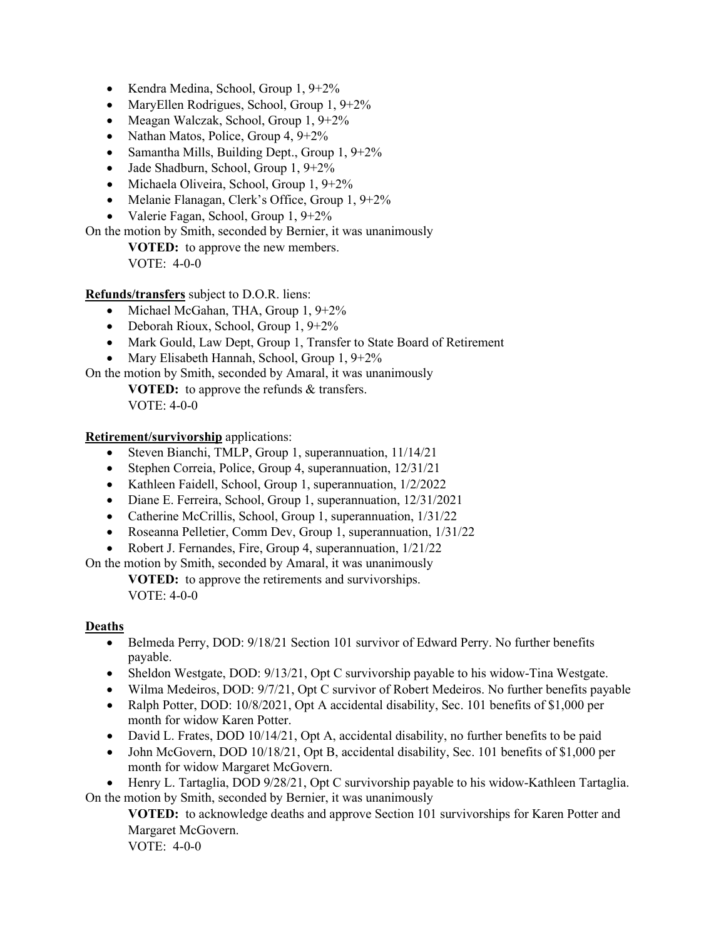- Kendra Medina, School, Group 1, 9+2%
- MaryEllen Rodrigues, School, Group 1, 9+2%
- Meagan Walczak, School, Group 1, 9+2%
- Nathan Matos, Police, Group 4,  $9+2\%$
- Samantha Mills, Building Dept., Group  $1, 9+2\%$
- Jade Shadburn, School, Group 1, 9+2%
- Michaela Oliveira, School, Group 1, 9+2%
- Melanie Flanagan, Clerk's Office, Group 1, 9+2%
- Valerie Fagan, School, Group 1, 9+2%

On the motion by Smith, seconded by Bernier, it was unanimously

**VOTED:** to approve the new members. VOTE: 4-0-0

- **Refunds/transfers** subject to D.O.R. liens:
	- Michael McGahan, THA, Group 1, 9+2%
	- Deborah Rioux, School, Group 1, 9+2%
	- Mark Gould, Law Dept, Group 1, Transfer to State Board of Retirement
	- Mary Elisabeth Hannah, School, Group 1, 9+2%

On the motion by Smith, seconded by Amaral, it was unanimously

**VOTED:** to approve the refunds & transfers. VOTE: 4-0-0

**Retirement/survivorship** applications:

- Steven Bianchi, TMLP, Group 1, superannuation, 11/14/21
- Stephen Correia, Police, Group 4, superannuation, 12/31/21
- Kathleen Faidell, School, Group 1, superannuation, 1/2/2022
- Diane E. Ferreira, School, Group 1, superannuation, 12/31/2021
- Catherine McCrillis, School, Group 1, superannuation,  $1/31/22$
- Roseanna Pelletier, Comm Dev, Group 1, superannuation,  $1/31/22$
- Robert J. Fernandes, Fire, Group 4, superannuation, 1/21/22

On the motion by Smith, seconded by Amaral, it was unanimously

**VOTED:** to approve the retirements and survivorships. VOTE: 4-0-0

## **Deaths**

- Belmeda Perry, DOD:  $9/18/21$  Section 101 survivor of Edward Perry. No further benefits payable.
- Sheldon Westgate, DOD: 9/13/21, Opt C survivorship payable to his widow-Tina Westgate.
- Wilma Medeiros, DOD: 9/7/21, Opt C survivor of Robert Medeiros. No further benefits payable
- Ralph Potter, DOD: 10/8/2021, Opt A accidental disability, Sec. 101 benefits of \$1,000 per month for widow Karen Potter.
- David L. Frates, DOD 10/14/21, Opt A, accidental disability, no further benefits to be paid
- John McGovern, DOD 10/18/21, Opt B, accidental disability, Sec. 101 benefits of \$1,000 per month for widow Margaret McGovern.

• Henry L. Tartaglia, DOD 9/28/21, Opt C survivorship payable to his widow-Kathleen Tartaglia. On the motion by Smith, seconded by Bernier, it was unanimously

**VOTED:** to acknowledge deaths and approve Section 101 survivorships for Karen Potter and Margaret McGovern.

VOTE: 4-0-0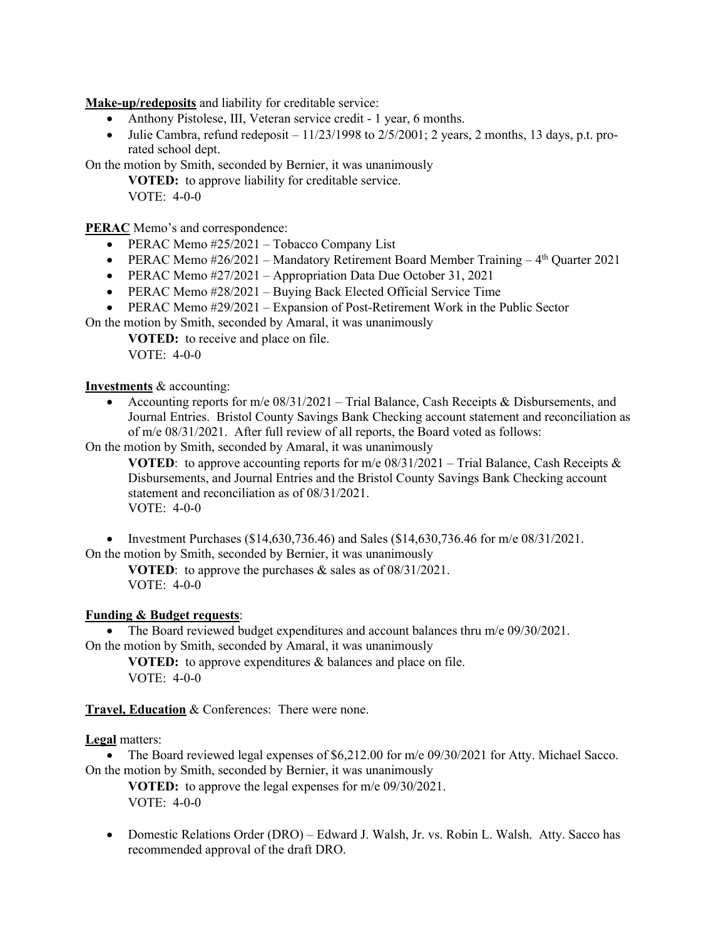**Make-up/redeposits** and liability for creditable service:

- Anthony Pistolese, III, Veteran service credit 1 year, 6 months.
- Julie Cambra, refund redeposit  $-11/23/1998$  to  $2/5/2001$ ; 2 years, 2 months, 13 days, p.t. prorated school dept.

On the motion by Smith, seconded by Bernier, it was unanimously

**VOTED:** to approve liability for creditable service.

VOTE: 4-0-0

**PERAC** Memo's and correspondence:

- PERAC Memo #25/2021 Tobacco Company List
- PERAC Memo  $\#26/2021$  Mandatory Retirement Board Member Training  $4<sup>th</sup>$  Quarter 2021
- PERAC Memo #27/2021 Appropriation Data Due October 31, 2021
- PERAC Memo #28/2021 Buying Back Elected Official Service Time
- PERAC Memo #29/2021 Expansion of Post-Retirement Work in the Public Sector
- On the motion by Smith, seconded by Amaral, it was unanimously

**VOTED:** to receive and place on file. VOTE: 4-0-0

#### **Investments** & accounting:

• Accounting reports for m/e  $08/31/2021$  – Trial Balance, Cash Receipts & Disbursements, and Journal Entries. Bristol County Savings Bank Checking account statement and reconciliation as of m/e 08/31/2021. After full review of all reports, the Board voted as follows:

On the motion by Smith, seconded by Amaral, it was unanimously

**VOTED:** to approve accounting reports for m/e  $08/31/2021$  – Trial Balance, Cash Receipts & Disbursements, and Journal Entries and the Bristol County Savings Bank Checking account statement and reconciliation as of 08/31/2021. VOTE: 4-0-0

• Investment Purchases (\$14,630,736.46) and Sales (\$14,630,736.46 for m/e  $08/31/2021$ . On the motion by Smith, seconded by Bernier, it was unanimously

**VOTED**: to approve the purchases & sales as of 08/31/2021. VOTE: 4-0-0

## **Funding & Budget requests**:

• The Board reviewed budget expenditures and account balances thru m/e 09/30/2021. On the motion by Smith, seconded by Amaral, it was unanimously

**VOTED:** to approve expenditures & balances and place on file. VOTE: 4-0-0

**Travel, Education** & Conferences: There were none.

## **Legal** matters:

• The Board reviewed legal expenses of \$6,212.00 for m/e 09/30/2021 for Atty. Michael Sacco. On the motion by Smith, seconded by Bernier, it was unanimously

**VOTED:** to approve the legal expenses for m/e 09/30/2021. VOTE: 4-0-0

• Domestic Relations Order (DRO) – Edward J. Walsh, Jr. vs. Robin L. Walsh. Atty. Sacco has recommended approval of the draft DRO.